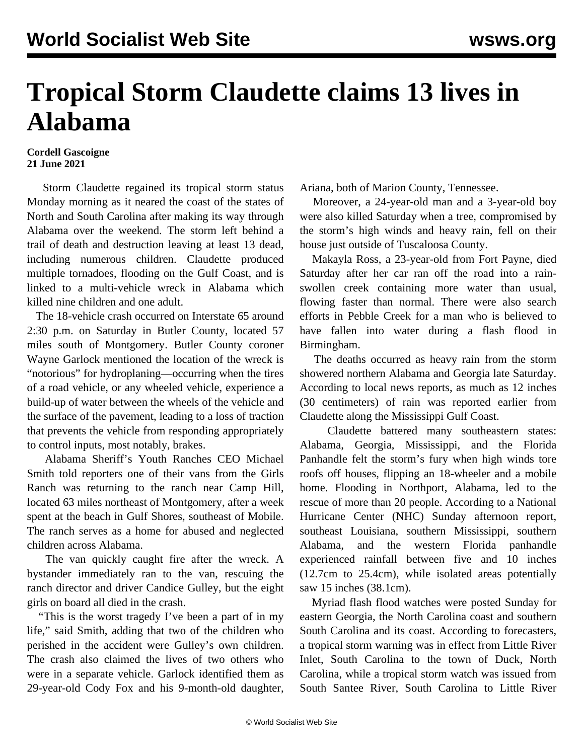## **Tropical Storm Claudette claims 13 lives in Alabama**

## **Cordell Gascoigne 21 June 2021**

 Storm Claudette regained its tropical storm status Monday morning as it neared the coast of the states of North and South Carolina after making its way through Alabama over the weekend. The storm left behind a trail of death and destruction leaving at least 13 dead, including numerous children. Claudette produced multiple tornadoes, flooding on the Gulf Coast, and is linked to a multi-vehicle wreck in Alabama which killed nine children and one adult.

 The 18-vehicle crash occurred on Interstate 65 around 2:30 p.m. on Saturday in Butler County, located 57 miles south of Montgomery. Butler County coroner Wayne Garlock mentioned the location of the wreck is "notorious" for hydroplaning—occurring when the tires of a road vehicle, or any wheeled vehicle, experience a build-up of water between the wheels of the vehicle and the surface of the pavement, leading to a loss of traction that prevents the vehicle from responding appropriately to control inputs, most notably, brakes.

 Alabama Sheriff's Youth Ranches CEO Michael Smith told reporters one of their vans from the Girls Ranch was returning to the ranch near Camp Hill, located 63 miles northeast of Montgomery, after a week spent at the beach in Gulf Shores, southeast of Mobile. The ranch serves as a home for abused and neglected children across Alabama.

 The van quickly caught fire after the wreck. A bystander immediately ran to the van, rescuing the ranch director and driver Candice Gulley, but the eight girls on board all died in the crash.

 "This is the worst tragedy I've been a part of in my life," said Smith, adding that two of the children who perished in the accident were Gulley's own children. The crash also claimed the lives of two others who were in a separate vehicle. Garlock identified them as 29-year-old Cody Fox and his 9-month-old daughter, Ariana, both of Marion County, Tennessee.

 Moreover, a 24-year-old man and a 3-year-old boy were also killed Saturday when a tree, compromised by the storm's high winds and heavy rain, fell on their house just outside of Tuscaloosa County.

 Makayla Ross, a 23-year-old from Fort Payne, died Saturday after her car ran off the road into a rainswollen creek containing more water than usual, flowing faster than normal. There were also search efforts in Pebble Creek for a man who is believed to have fallen into water during a flash flood in Birmingham.

 The deaths occurred as heavy rain from the storm showered northern Alabama and Georgia late Saturday. According to local news reports, as much as 12 inches (30 centimeters) of rain was reported earlier from Claudette along the Mississippi Gulf Coast.

 Claudette battered many southeastern states: Alabama, Georgia, Mississippi, and the Florida Panhandle felt the storm's fury when high winds tore roofs off houses, flipping an 18-wheeler and a mobile home. Flooding in Northport, Alabama, led to the rescue of more than 20 people. According to a National Hurricane Center (NHC) Sunday afternoon report, southeast Louisiana, southern Mississippi, southern Alabama, and the western Florida panhandle experienced rainfall between five and 10 inches (12.7cm to 25.4cm), while isolated areas potentially saw 15 inches (38.1cm).

 Myriad flash flood watches were posted Sunday for eastern Georgia, the North Carolina coast and southern South Carolina and its coast. According to forecasters, a tropical storm warning was in effect from Little River Inlet, South Carolina to the town of Duck, North Carolina, while a tropical storm watch was issued from South Santee River, South Carolina to Little River